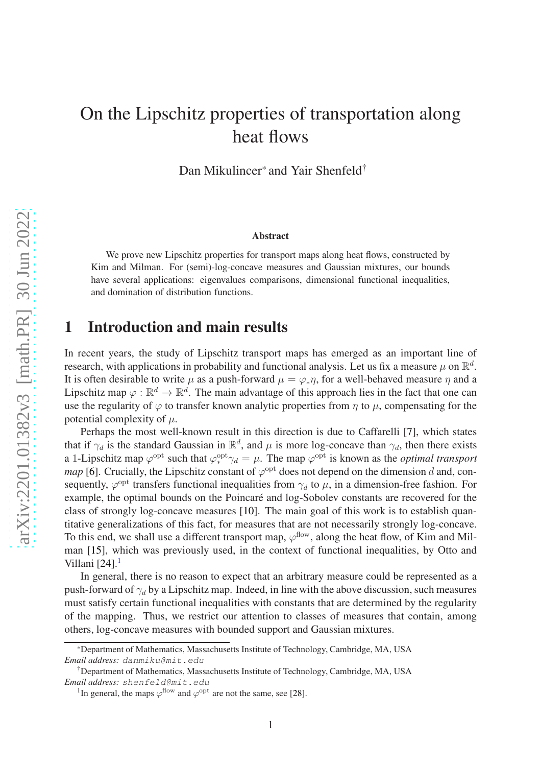# On the Lipschitz properties of transportation along heat flows

Dan Mikulincer<sup>\*</sup> and Yair Shenfeld<sup>†</sup>

#### Abstract

We prove new Lipschitz properties for transport maps along heat flows, constructed by Kim and Milman. For (semi)-log-concave measures and Gaussian mixtures, our bounds have several applications: eigenvalues comparisons, dimensional functional inequalities, and domination of distribution functions.

# 1 Introduction and main results

In recent years, the study of Lipschitz transport maps has emerged as an important line of research, with applications in probability and functional analysis. Let us fix a measure  $\mu$  on  $\mathbb{R}^d$ . It is often desirable to write  $\mu$  as a push-forward  $\mu = \varphi_* \eta$ , for a well-behaved measure  $\eta$  and a Lipschitz map  $\varphi : \mathbb{R}^d \to \mathbb{R}^d$ . The main advantage of this approach lies in the fact that one can use the regularity of  $\varphi$  to transfer known analytic properties from  $\eta$  to  $\mu$ , compensating for the potential complexity of  $\mu$ .

Perhaps the most well-known result in this direction is due to Caffarelli [\[7\]](#page-15-0), which states that if  $\gamma_d$  is the standard Gaussian in  $\mathbb{R}^d$ , and  $\mu$  is more log-concave than  $\gamma_d$ , then there exists a 1-Lipschitz map  $\varphi^{\text{opt}}$  such that  $\varphi_*^{\text{opt}} \gamma_d = \mu$ . The map  $\varphi^{\text{opt}}$  is known as the *optimal transport map* [\[6\]](#page-15-1). Crucially, the Lipschitz constant of  $\varphi^{\text{opt}}$  does not depend on the dimension d and, consequently,  $\varphi^{opt}$  transfers functional inequalities from  $\gamma_d$  to  $\mu$ , in a dimension-free fashion. For example, the optimal bounds on the Poincaré and log-Sobolev constants are recovered for the class of strongly log-concave measures [\[10\]](#page-15-2). The main goal of this work is to establish quantitative generalizations of this fact, for measures that are not necessarily strongly log-concave. To this end, we shall use a different transport map,  $\varphi^{\text{flow}}$ , along the heat flow, of Kim and Milman [\[15\]](#page-16-0), which was previously used, in the context of functional inequalities, by Otto and Villani  $[24]$ .

In general, there is no reason to expect that an arbitrary measure could be represented as a push-forward of  $\gamma_d$  by a Lipschitz map. Indeed, in line with the above discussion, such measures must satisfy certain functional inequalities with constants that are determined by the regularity of the mapping. Thus, we restrict our attention to classes of measures that contain, among others, log-concave measures with bounded support and Gaussian mixtures.

<sup>\*</sup>Department of Mathematics, Massachusetts Institute of Technology, Cambridge, MA, USA *Email address:* danmiku@mit.edu

<sup>†</sup>Department of Mathematics, Massachusetts Institute of Technology, Cambridge, MA, USA *Email address:* shenfeld@mit.edu

<span id="page-0-0"></span><sup>&</sup>lt;sup>1</sup>In general, the maps  $\varphi$ <sup>flow</sup> and  $\varphi$ <sup>opt</sup> are not the same, see [\[28\]](#page-17-0).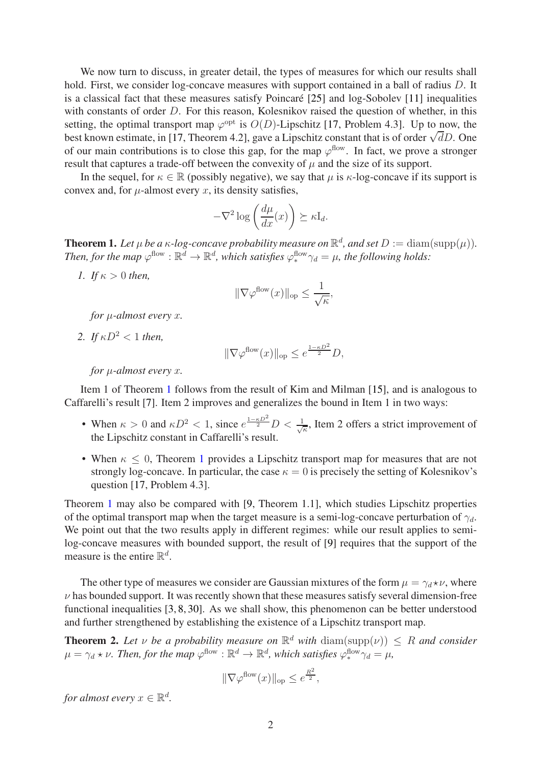We now turn to discuss, in greater detail, the types of measures for which our results shall hold. First, we consider log-concave measures with support contained in a ball of radius D. It is a classical fact that these measures satisfy Poincaré  $[25]$  and log-Sobolev  $[11]$  inequalities with constants of order D. For this reason, Kolesnikov raised the question of whether, in this setting, the optimal transport map  $\varphi^{\text{opt}}$  is  $O(D)$ -Lipschitz [\[17,](#page-16-4) Problem 4.3]. Up to now, the best known estimate, in [\[17,](#page-16-4) Theorem 4.2], gave a Lipschitz constant that is of order  $\sqrt{d}D$ . One of our main contributions is to close this gap, for the map  $\varphi^{\text{flow}}$ . In fact, we prove a stronger result that captures a trade-off between the convexity of  $\mu$  and the size of its support.

In the sequel, for  $\kappa \in \mathbb{R}$  (possibly negative), we say that  $\mu$  is  $\kappa$ -log-concave if its support is convex and, for  $\mu$ -almost every x, its density satisfies,

$$
-\nabla^2 \log\left(\frac{d\mu}{dx}(x)\right) \succeq \kappa \mathbf{I}_d.
$$

<span id="page-1-0"></span>**Theorem 1.** Let  $\mu$  be a  $\kappa$ -log-concave probability measure on  $\mathbb{R}^d$ , and set  $D := \text{diam}(\text{supp}(\mu)).$ Then, for the map  $\varphi^{\text{flow}} : \mathbb{R}^d \to \mathbb{R}^d$ , which satisfies  $\varphi_*^{\text{flow}} \gamma_d = \mu$ , the following holds:

*1. If* κ > 0 *then,*

$$
\|\nabla \varphi^{\text{flow}}(x)\|_{\text{op}} \le \frac{1}{\sqrt{\kappa}},
$$

*for* µ*-almost every* x*.*

*2. If*  $\kappa D^2 < 1$  *then.* 

$$
\|\nabla \varphi^{\text{flow}}(x)\|_{\text{op}} \le e^{\frac{1-\kappa D^2}{2}}D,
$$

*for* µ*-almost every* x*.*

Item 1 of Theorem [1](#page-1-0) follows from the result of Kim and Milman [\[15\]](#page-16-0), and is analogous to Caffarelli's result [\[7\]](#page-15-0). Item 2 improves and generalizes the bound in Item 1 in two ways:

- When  $\kappa > 0$  and  $\kappa D^2 < 1$ , since  $e^{\frac{1-\kappa D^2}{2}} D < \frac{1}{\sqrt{2}}$  $\frac{1}{\kappa}$ , Item 2 offers a strict improvement of the Lipschitz constant in Caffarelli's result.
- When  $\kappa \leq 0$ , Theorem [1](#page-1-0) provides a Lipschitz transport map for measures that are not strongly log-concave. In particular, the case  $\kappa = 0$  is precisely the setting of Kolesnikov's question [\[17,](#page-16-4) Problem 4.3].

Theorem [1](#page-1-0) may also be compared with [\[9,](#page-15-3) Theorem 1.1], which studies Lipschitz properties of the optimal transport map when the target measure is a semi-log-concave perturbation of  $\gamma_d$ . We point out that the two results apply in different regimes: while our result applies to semilog-concave measures with bounded support, the result of [\[9\]](#page-15-3) requires that the support of the measure is the entire  $\mathbb{R}^d$ .

The other type of measures we consider are Gaussian mixtures of the form  $\mu = \gamma_d * \nu$ , where  $\nu$  has bounded support. It was recently shown that these measures satisfy several dimension-free functional inequalities [\[3,](#page-15-4) [8,](#page-15-5) [30\]](#page-17-1). As we shall show, this phenomenon can be better understood and further strengthened by establishing the existence of a Lipschitz transport map.

<span id="page-1-1"></span>**Theorem 2.** Let  $\nu$  be a probability measure on  $\mathbb{R}^d$  with  $\text{diam}(\text{supp}(\nu)) \leq R$  and consider  $\mu = \gamma_d * \nu$ . Then, for the map  $\varphi^{\text{flow}} : \mathbb{R}^d \to \mathbb{R}^d$ , which satisfies  $\varphi^{\text{flow}}_* \gamma_d = \mu$ ,

$$
\|\nabla \varphi^{\text{flow}}(x)\|_{\text{op}} \le e^{\frac{R^2}{2}},
$$

*for almost every*  $x \in \mathbb{R}^d$ .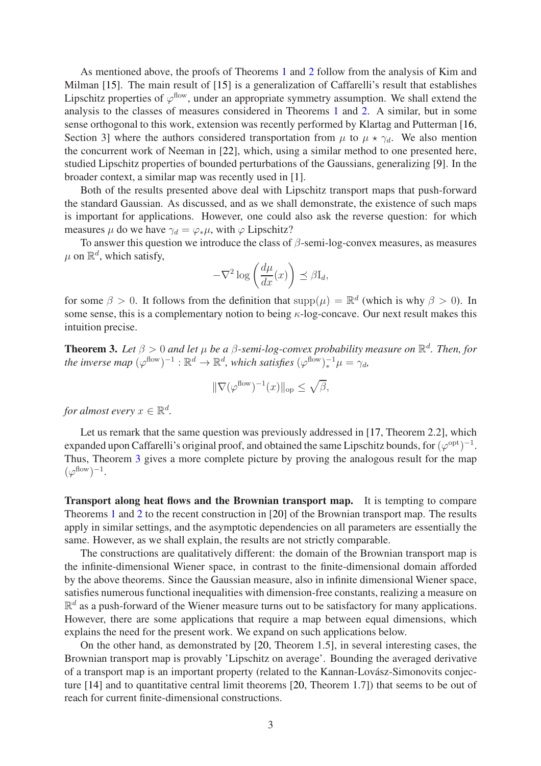As mentioned above, the proofs of Theorems [1](#page-1-0) and [2](#page-1-1) follow from the analysis of Kim and Milman [\[15\]](#page-16-0). The main result of [\[15\]](#page-16-0) is a generalization of Caffarelli's result that establishes Lipschitz properties of  $\varphi^{\text{flow}}$ , under an appropriate symmetry assumption. We shall extend the analysis to the classes of measures considered in Theorems [1](#page-1-0) and [2.](#page-1-1) A similar, but in some sense orthogonal to this work, extension was recently performed by Klartag and Putterman [\[16,](#page-16-5) Section 3] where the authors considered transportation from  $\mu$  to  $\mu \star \gamma_d$ . We also mention the concurrent work of Neeman in [\[22\]](#page-16-6), which, using a similar method to one presented here, studied Lipschitz properties of bounded perturbations of the Gaussians, generalizing [\[9\]](#page-15-3). In the broader context, a similar map was recently used in [\[1\]](#page-15-6).

Both of the results presented above deal with Lipschitz transport maps that push-forward the standard Gaussian. As discussed, and as we shall demonstrate, the existence of such maps is important for applications. However, one could also ask the reverse question: for which measures  $\mu$  do we have  $\gamma_d = \varphi_* \mu$ , with  $\varphi$  Lipschitz?

To answer this question we introduce the class of  $\beta$ -semi-log-convex measures, as measures  $\mu$  on  $\mathbb{R}^d$ , which satisfy,

$$
-\nabla^2 \log \left(\frac{d\mu}{dx}(x)\right) \preceq \beta I_d,
$$

for some  $\beta > 0$ . It follows from the definition that  $\text{supp}(\mu) = \mathbb{R}^d$  (which is why  $\beta > 0$ ). In some sense, this is a complementary notion to being  $\kappa$ -log-concave. Our next result makes this intuition precise.

<span id="page-2-0"></span>**Theorem 3.** Let  $\beta > 0$  and let  $\mu$  be a  $\beta$ -semi-log-convex probability measure on  $\mathbb{R}^d$ . Then, for *the inverse map*  $(\varphi^{flow})^{-1} : \mathbb{R}^d \to \mathbb{R}^d$ , which satisfies  $(\varphi^{flow})_*^{-1}\mu = \gamma_d$ ,

$$
\|\nabla(\varphi^{\text{flow}})^{-1}(x)\|_{\text{op}} \le \sqrt{\beta},
$$

*for almost every*  $x \in \mathbb{R}^d$ .

Let us remark that the same question was previously addressed in [\[17,](#page-16-4) Theorem 2.2], which expanded upon Caffarelli's original proof, and obtained the same Lipschitz bounds, for  $(\varphi^{\rm opt})^{-1}$ . Thus, Theorem [3](#page-2-0) gives a more complete picture by proving the analogous result for the map  $(\varphi^{\text{flow}})^{-1}.$ 

Transport along heat flows and the Brownian transport map. It is tempting to compare Theorems [1](#page-1-0) and [2](#page-1-1) to the recent construction in [\[20\]](#page-16-7) of the Brownian transport map. The results apply in similar settings, and the asymptotic dependencies on all parameters are essentially the same. However, as we shall explain, the results are not strictly comparable.

The constructions are qualitatively different: the domain of the Brownian transport map is the infinite-dimensional Wiener space, in contrast to the finite-dimensional domain afforded by the above theorems. Since the Gaussian measure, also in infinite dimensional Wiener space, satisfies numerous functional inequalities with dimension-free constants, realizing a measure on  $\mathbb{R}^d$  as a push-forward of the Wiener measure turns out to be satisfactory for many applications. However, there are some applications that require a map between equal dimensions, which explains the need for the present work. We expand on such applications below.

On the other hand, as demonstrated by [\[20,](#page-16-7) Theorem 1.5], in several interesting cases, the Brownian transport map is provably 'Lipschitz on average'. Bounding the averaged derivative of a transport map is an important property (related to the Kannan-Lovász-Simonovits conjecture [\[14\]](#page-16-8) and to quantitative central limit theorems [\[20,](#page-16-7) Theorem 1.7]) that seems to be out of reach for current finite-dimensional constructions.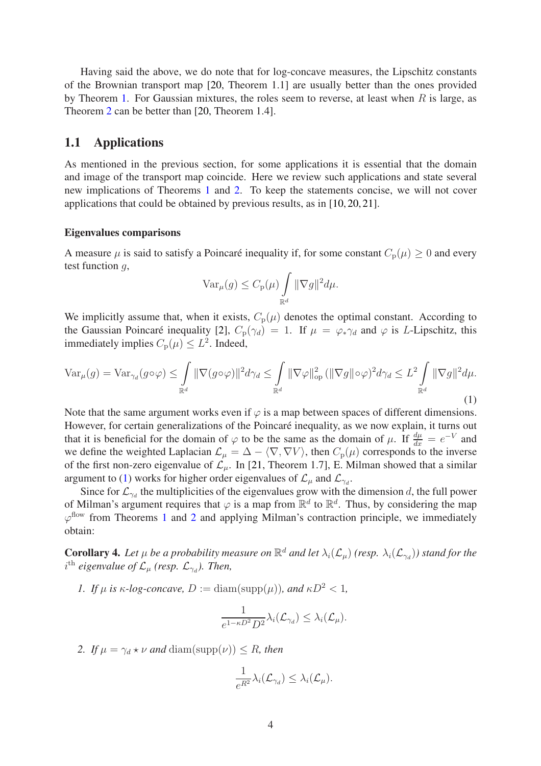Having said the above, we do note that for log-concave measures, the Lipschitz constants of the Brownian transport map [\[20,](#page-16-7) Theorem 1.1] are usually better than the ones provided by Theorem [1.](#page-1-0) For Gaussian mixtures, the roles seem to reverse, at least when  $R$  is large, as Theorem [2](#page-1-1) can be better than [\[20,](#page-16-7) Theorem 1.4].

### 1.1 Applications

As mentioned in the previous section, for some applications it is essential that the domain and image of the transport map coincide. Here we review such applications and state several new implications of Theorems [1](#page-1-0) and [2.](#page-1-1) To keep the statements concise, we will not cover applications that could be obtained by previous results, as in [\[10,](#page-15-2) [20,](#page-16-7) [21\]](#page-16-9).

#### Eigenvalues comparisons

A measure  $\mu$  is said to satisfy a Poincaré inequality if, for some constant  $C_p(\mu) \geq 0$  and every test function  $q$ ,

$$
\text{Var}_{\mu}(g) \leq C_{\text{p}}(\mu) \int_{\mathbb{R}^d} ||\nabla g||^2 d\mu.
$$

We implicitly assume that, when it exists,  $C_p(\mu)$  denotes the optimal constant. According to the Gaussian Poincaré inequality [\[2\]](#page-15-7),  $C_p(\gamma_d) = 1$ . If  $\mu = \varphi_* \gamma_d$  and  $\varphi$  is L-Lipschitz, this immediately implies  $C_{\rm p}(\mu) \leq L^2$ . Indeed,

<span id="page-3-0"></span>
$$
\operatorname{Var}_{\mu}(g) = \operatorname{Var}_{\gamma_d}(g \circ \varphi) \le \int_{\mathbb{R}^d} \|\nabla(g \circ \varphi)\|^2 d\gamma_d \le \int_{\mathbb{R}^d} \|\nabla \varphi\|_{\text{op}}^2 \left(\|\nabla g\| \circ \varphi\right)^2 d\gamma_d \le L^2 \int_{\mathbb{R}^d} \|\nabla g\|^2 d\mu.
$$
\n(1)

Note that the same argument works even if  $\varphi$  is a map between spaces of different dimensions. However, for certain generalizations of the Poincaré inequality, as we now explain, it turns out that it is beneficial for the domain of  $\varphi$  to be the same as the domain of  $\mu$ . If  $\frac{d\mu}{dx} = e^{-V}$  and we define the weighted Laplacian  $\mathcal{L}_{\mu} = \Delta - \langle \nabla, \nabla V \rangle$ , then  $C_{p}(\mu)$  corresponds to the inverse of the first non-zero eigenvalue of  $\mathcal{L}_{\mu}$ . In [\[21,](#page-16-9) Theorem 1.7], E. Milman showed that a similar argument to [\(1\)](#page-3-0) works for higher order eigenvalues of  $\mathcal{L}_{\mu}$  and  $\mathcal{L}_{\gamma_d}$ .

Since for  $\mathcal{L}_{\gamma_d}$  the multiplicities of the eigenvalues grow with the dimension d, the full power of Milman's argument requires that  $\varphi$  is a map from  $\mathbb{R}^d$  to  $\mathbb{R}^d$ . Thus, by considering the map  $\varphi$ <sup>flow</sup> from Theorems [1](#page-1-0) and [2](#page-1-1) and applying Milman's contraction principle, we immediately obtain:

**Corollary 4.** Let  $\mu$  be a probability measure on  $\mathbb{R}^d$  and let  $\lambda_i(\mathcal{L}_{\mu})$  *(resp.*  $\lambda_i(\mathcal{L}_{\gamma d})$ *)* stand for the  $i^{\text{th}}$  eigenvalue of  $\mathcal{L}_{\mu}$  (resp.  $\mathcal{L}_{\gamma_d}$ ). Then,

*1. If*  $\mu$  *is*  $\kappa$ *-log-concave,*  $D := \text{diam}(\text{supp}(\mu))$ *, and*  $\kappa D^2 < 1$ *,* 

$$
\frac{1}{e^{1-\kappa D^2}D^2}\lambda_i(\mathcal{L}_{\gamma_d}) \leq \lambda_i(\mathcal{L}_{\mu}).
$$

2. If  $\mu = \gamma_d * \nu$  and  $\text{diam}(\text{supp}(\nu)) \leq R$ , then

$$
\frac{1}{e^{R^2}}\lambda_i(\mathcal{L}_{\gamma_d}) \leq \lambda_i(\mathcal{L}_{\mu}).
$$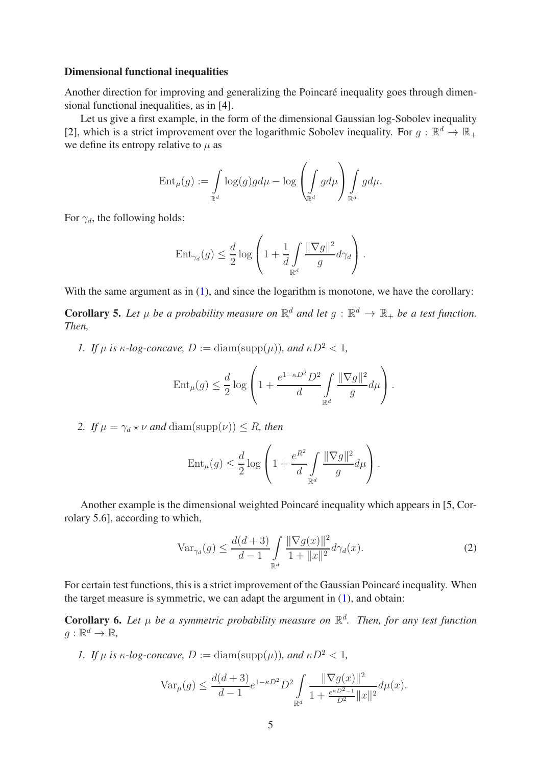### Dimensional functional inequalities

Another direction for improving and generalizing the Poincaré inequality goes through dimensional functional inequalities, as in [\[4\]](#page-15-8).

Let us give a first example, in the form of the dimensional Gaussian log-Sobolev inequality [\[2\]](#page-15-7), which is a strict improvement over the logarithmic Sobolev inequality. For  $g : \mathbb{R}^d \to \mathbb{R}_+$ we define its entropy relative to  $\mu$  as

$$
\operatorname{Ent}_{\mu}(g) := \int\limits_{\mathbb{R}^d} \log(g)gd\mu - \log\left(\int\limits_{\mathbb{R}^d} g d\mu\right) \int\limits_{\mathbb{R}^d} g d\mu.
$$

For  $\gamma_d$ , the following holds:

$$
\text{Ent}_{\gamma_d}(g) \le \frac{d}{2} \log \left( 1 + \frac{1}{d} \int\limits_{\mathbb{R}^d} \frac{\|\nabla g\|^2}{g} d\gamma_d \right).
$$

With the same argument as in [\(1\)](#page-3-0), and since the logarithm is monotone, we have the corollary:

**Corollary 5.** Let  $\mu$  be a probability measure on  $\mathbb{R}^d$  and let  $g : \mathbb{R}^d \to \mathbb{R}_+$  be a test function. *Then,*

*1. If*  $\mu$  *is*  $\kappa$ *-log-concave,*  $D := \text{diam}(\text{supp}(\mu))$ *, and*  $\kappa D^2 < 1$ *,* 

$$
\operatorname{Ent}_{\mu}(g) \le \frac{d}{2} \log \left( 1 + \frac{e^{1-\kappa D^2} D^2}{d} \int_{\mathbb{R}^d} \frac{\|\nabla g\|^2}{g} d\mu \right).
$$

*2. If*  $\mu = \gamma_d * \nu$  *and* diam(supp( $\nu$ )) < *R, then* 

$$
\operatorname{Ent}_{\mu}(g) \le \frac{d}{2} \log \left( 1 + \frac{e^{R^2}}{d} \int\limits_{\mathbb{R}^d} \frac{\|\nabla g\|^2}{g} d\mu \right).
$$

Another example is the dimensional weighted Poincaré inequality which appears in [\[5,](#page-15-9) Corrolary 5.6], according to which,

<span id="page-4-0"></span>
$$
\text{Var}_{\gamma_d}(g) \le \frac{d(d+3)}{d-1} \int_{\mathbb{R}^d} \frac{\|\nabla g(x)\|^2}{1 + \|x\|^2} d\gamma_d(x). \tag{2}
$$

For certain test functions, this is a strict improvement of the Gaussian Poincaré inequality. When the target measure is symmetric, we can adapt the argument in [\(1\)](#page-3-0), and obtain:

**Corollary 6.** Let  $\mu$  be a symmetric probability measure on  $\mathbb{R}^d$ . Then, for any test function  $g:\mathbb{R}^d\to\mathbb{R}$ ,

*1. If*  $\mu$  *is*  $\kappa$ *-log-concave,*  $D := \text{diam}(\text{supp}(\mu))$ *, and*  $\kappa D^2 < 1$ *,* 

$$
\text{Var}_{\mu}(g) \le \frac{d(d+3)}{d-1} e^{1-\kappa D^2} D^2 \int_{\mathbb{R}^d} \frac{\|\nabla g(x)\|^2}{1 + \frac{e^{\kappa D^2 - 1}}{D^2} \|x\|^2} d\mu(x).
$$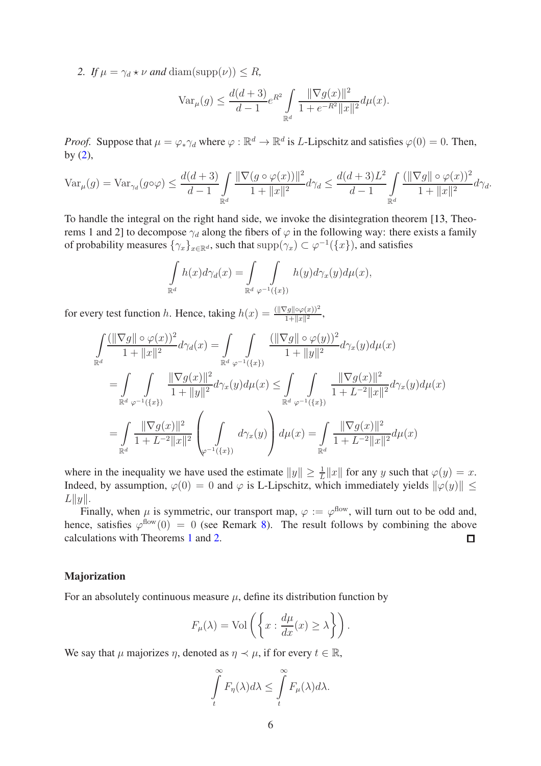2. If  $\mu = \gamma_d * \nu$  *and* diam(supp( $\nu$ ))  $\leq R$ ,

$$
\text{Var}_{\mu}(g) \le \frac{d(d+3)}{d-1} e^{R^2} \int_{\mathbb{R}^d} \frac{\|\nabla g(x)\|^2}{1 + e^{-R^2} \|x\|^2} d\mu(x).
$$

*Proof.* Suppose that  $\mu = \varphi_* \gamma_d$  where  $\varphi : \mathbb{R}^d \to \mathbb{R}^d$  is *L*-Lipschitz and satisfies  $\varphi(0) = 0$ . Then, by  $(2)$ ,

$$
\text{Var}_{\mu}(g) = \text{Var}_{\gamma_d}(g \circ \varphi) \le \frac{d(d+3)}{d-1} \int\limits_{\mathbb{R}^d}{\frac{\|\nabla (g \circ \varphi(x))\|^2}{1 + \|x\|^2} d\gamma_d} \le \frac{d(d+3)L^2}{d-1} \int\limits_{\mathbb{R}^d}{\frac{(\|\nabla g\| \circ \varphi(x))^2}{1 + \|x\|^2} d\gamma_d}.
$$

To handle the integral on the right hand side, we invoke the disintegration theorem [\[13,](#page-16-10) Theorems 1 and 2] to decompose  $\gamma_d$  along the fibers of  $\varphi$  in the following way: there exists a family of probability measures  $\{\gamma_x\}_{x\in\mathbb{R}^d}$ , such that  $\text{supp}(\gamma_x) \subset \varphi^{-1}(\{x\})$ , and satisfies

$$
\int_{\mathbb{R}^d} h(x) d\gamma_d(x) = \int_{\mathbb{R}^d} \int_{\varphi^{-1}(\{x\})} h(y) d\gamma_x(y) d\mu(x),
$$

for every test function h. Hence, taking  $h(x) = \frac{(\|\nabla g\| \circ \varphi(x))^2}{1 + \|x\|^2}$ ,

$$
\begin{split} & \int\limits_{\mathbb{R}^d} \frac{(\|\nabla g\| \circ \varphi(x))^2}{1+\|x\|^2} d\gamma_d(x) = \int\limits_{\mathbb{R}^d} \int\limits_{\varphi^{-1}(\{x\})} \frac{(\|\nabla g\| \circ \varphi(y))^2}{1+\|y\|^2} d\gamma_x(y) d\mu(x) \\ & = \int\limits_{\mathbb{R}^d} \int\limits_{\varphi^{-1}(\{x\})} \frac{\|\nabla g(x)\|^2}{1+\|y\|^2} d\gamma_x(y) d\mu(x) \leq \int\limits_{\mathbb{R}^d} \int\limits_{\varphi^{-1}(\{x\})} \frac{\|\nabla g(x)\|^2}{1+L^{-2}\|x\|^2} d\gamma_x(y) d\mu(x) \\ & = \int\limits_{\mathbb{R}^d} \frac{\|\nabla g(x)\|^2}{1+L^{-2}\|x\|^2} \left(\int\limits_{\varphi^{-1}(\{x\})} d\gamma_x(y)\right) d\mu(x) = \int\limits_{\mathbb{R}^d} \frac{\|\nabla g(x)\|^2}{1+L^{-2}\|x\|^2} d\mu(x) \end{split}
$$

where in the inequality we have used the estimate  $||y|| \ge \frac{1}{L} ||x||$  for any y such that  $\varphi(y) = x$ . Indeed, by assumption,  $\varphi(0) = 0$  and  $\varphi$  is L-Lipschitz, which immediately yields  $\|\varphi(y)\| \le$  $L||y||.$ 

Finally, when  $\mu$  is symmetric, our transport map,  $\varphi := \varphi^{\text{flow}}$ , will turn out to be odd and, hence, satisfies  $\varphi^{\text{flow}}(0) = 0$  (see Remark [8\)](#page-8-0). The result follows by combining the above calculations with Theorems [1](#page-1-0) and [2.](#page-1-1)  $\Box$ 

#### Majorization

For an absolutely continuous measure  $\mu$ , define its distribution function by

$$
F_{\mu}(\lambda) = \text{Vol}\left(\left\{x : \frac{d\mu}{dx}(x) \ge \lambda\right\}\right).
$$

We say that  $\mu$  majorizes  $\eta$ , denoted as  $\eta \prec \mu$ , if for every  $t \in \mathbb{R}$ ,

$$
\int_{t}^{\infty} F_{\eta}(\lambda) d\lambda \leq \int_{t}^{\infty} F_{\mu}(\lambda) d\lambda.
$$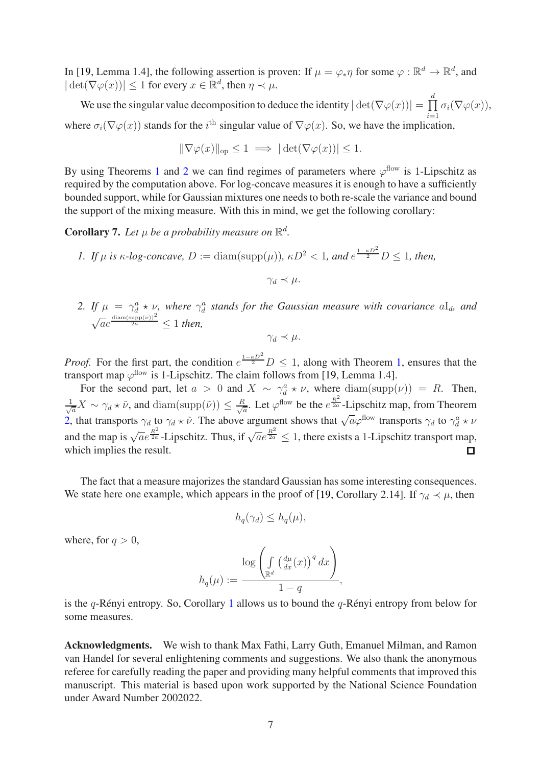In [\[19,](#page-16-11) Lemma 1.4], the following assertion is proven: If  $\mu = \varphi_* \eta$  for some  $\varphi : \mathbb{R}^d \to \mathbb{R}^d$ , and  $|\det(\nabla \varphi(x))| \leq 1$  for every  $x \in \mathbb{R}^d$ , then  $\eta \prec \mu$ .

We use the singular value decomposition to deduce the identity  $|\det(\nabla \varphi(x))| = \prod_{i=1}^{n}$ d  $\prod_{i=1} \sigma_i(\nabla \varphi(x)),$ where  $\sigma_i(\nabla \varphi(x))$  stands for the  $i^{\text{th}}$  singular value of  $\nabla \varphi(x)$ . So, we have the implication,

$$
\|\nabla \varphi(x)\|_{\text{op}} \le 1 \implies |\det(\nabla \varphi(x))| \le 1.
$$

By using Theorems [1](#page-1-0) and [2](#page-1-1) we can find regimes of parameters where  $\varphi^{\text{flow}}$  is 1-Lipschitz as required by the computation above. For log-concave measures it is enough to have a sufficiently bounded support, while for Gaussian mixtures one needs to both re-scale the variance and bound the support of the mixing measure. With this in mind, we get the following corollary:

**Corollary 7.** Let  $\mu$  be a probability measure on  $\mathbb{R}^d$ .

- *1.* If  $\mu$  is  $\kappa$ -log-concave,  $D := \text{diam}(\text{supp}(\mu))$ ,  $\kappa D^2 < 1$ , and  $e^{\frac{1-\kappa D^2}{2}} D \leq 1$ , then,  $\gamma_d \prec \mu$ .
- 2. If  $\mu = \gamma_d^a * \nu$ , where  $\gamma_d^a$  stands for the Gaussian measure with covariance  $aI_d$ , and  $\sqrt{ae}^{\frac{\text{diam}(\text{supp}(\nu))^{2}}{2a}} \leq 1$  then,

$$
\gamma_d \prec \mu.
$$

*Proof.* For the first part, the condition  $e^{\frac{1-\kappa D^2}{2}}D \leq 1$ , along with Theorem [1,](#page-1-0) ensures that the transport map  $\varphi^{\text{flow}}$  is 1-Lipschitz. The claim follows from [\[19,](#page-16-11) Lemma 1.4].

For the second part, let  $a > 0$  and  $X \sim \gamma_d^a * \nu$ , where  $\text{diam}(\text{supp}(\nu)) = R$ . Then,  $\frac{1}{\sqrt{a}}X \sim \gamma_d \star \tilde{\nu}$ , and  $\text{diam}(\text{supp}(\tilde{\nu})) \leq \frac{R}{\sqrt{a}}$  $\frac{\hbar}{a}$ . Let  $\varphi^{\text{flow}}$  be the  $e^{\frac{R^2}{2a}}$ -Lipschitz map, from Theorem [2,](#page-1-1) that transports  $\gamma_d$  to  $\gamma_d * \tilde{\nu}$ . The above argument shows that  $\sqrt{a}\varphi^{\text{flow}}$  transports  $\gamma_d$  to  $\gamma_d^a * \nu$ and the map is  $\sqrt{a}e^{\frac{R^2}{2a}}$ -Lipschitz. Thus, if  $\sqrt{a}e^{\frac{R^2}{2a}} \le 1$ , there exists a 1-Lipschitz transport map, which implies the result.

The fact that a measure majorizes the standard Gaussian has some interesting consequences. We state here one example, which appears in the proof of [\[19,](#page-16-11) Corollary 2.14]. If  $\gamma_d \prec \mu$ , then

$$
h_q(\gamma_d) \le h_q(\mu),
$$

where, for  $q > 0$ ,

$$
h_q(\mu) := \frac{\log \left( \int_{\mathbb{R}^d} \left( \frac{d\mu}{dx}(x) \right)^q dx \right)}{1 - q},
$$

is the  $q$ -Rényi entropy. So, Corollary [1](#page-1-0) allows us to bound the  $q$ -Rényi entropy from below for some measures.

Acknowledgments. We wish to thank Max Fathi, Larry Guth, Emanuel Milman, and Ramon van Handel for several enlightening comments and suggestions. We also thank the anonymous referee for carefully reading the paper and providing many helpful comments that improved this manuscript. This material is based upon work supported by the National Science Foundation under Award Number 2002022.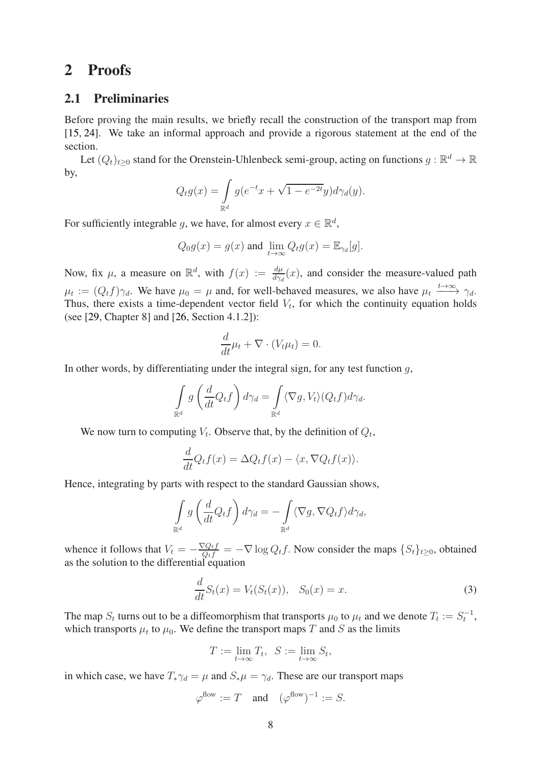# <span id="page-7-1"></span>2 Proofs

### 2.1 Preliminaries

Before proving the main results, we briefly recall the construction of the transport map from [\[15,](#page-16-0) [24\]](#page-16-1). We take an informal approach and provide a rigorous statement at the end of the section.

Let  $(Q_t)_{t\geq 0}$  stand for the Orenstein-Uhlenbeck semi-group, acting on functions  $g:\mathbb{R}^d\to\mathbb{R}$ by,

$$
Q_t g(x) = \int_{\mathbb{R}^d} g(e^{-t}x + \sqrt{1 - e^{-2t}}y) d\gamma_d(y).
$$

For sufficiently integrable g, we have, for almost every  $x \in \mathbb{R}^d$ ,

$$
Q_0 g(x) = g(x)
$$
 and  $\lim_{t \to \infty} Q_t g(x) = \mathbb{E}_{\gamma_d}[g]$ .

Now, fix  $\mu$ , a measure on  $\mathbb{R}^d$ , with  $f(x) := \frac{d\mu}{dx/d}(x)$ , and consider the measure-valued path  $\mu_t := (Q_t f) \gamma_d$ . We have  $\mu_0 = \mu$  and, for well-behaved measures, we also have  $\mu_t \stackrel{t \to \infty}{\longrightarrow} \gamma_d$ . Thus, there exists a time-dependent vector field  $V_t$ , for which the continuity equation holds (see [\[29,](#page-17-2) Chapter 8] and [\[26,](#page-16-12) Section 4.1.2]):

$$
\frac{d}{dt}\mu_t + \nabla \cdot (V_t \mu_t) = 0.
$$

In other words, by differentiating under the integral sign, for any test function  $q$ ,

$$
\int_{\mathbb{R}^d} g\left(\frac{d}{dt}Q_t f\right) d\gamma_d = \int_{\mathbb{R}^d} \langle \nabla g, V_t \rangle (Q_t f) d\gamma_d.
$$

We now turn to computing  $V_t$ . Observe that, by the definition of  $Q_t$ ,

$$
\frac{d}{dt}Q_t f(x) = \Delta Q_t f(x) - \langle x, \nabla Q_t f(x) \rangle.
$$

Hence, integrating by parts with respect to the standard Gaussian shows,

$$
\int_{\mathbb{R}^d} g\left(\frac{d}{dt}Q_t f\right) d\gamma_d = -\int_{\mathbb{R}^d} \langle \nabla g, \nabla Q_t f \rangle d\gamma_d,
$$

whence it follows that  $V_t = -\frac{\nabla Q_t f}{Q_t f} = -\nabla \log Q_t f$ . Now consider the maps  $\{S_t\}_{t \geq 0}$ , obtained as the solution to the differential equation

<span id="page-7-0"></span>
$$
\frac{d}{dt}S_t(x) = V_t(S_t(x)), \quad S_0(x) = x.
$$
\n(3)

The map  $S_t$  turns out to be a diffeomorphism that transports  $\mu_0$  to  $\mu_t$  and we denote  $T_t := S_t^{-1}$ , which transports  $\mu_t$  to  $\mu_0$ . We define the transport maps T and S as the limits

$$
T := \lim_{t \to \infty} T_t, \ \ S := \lim_{t \to \infty} S_t,
$$

in which case, we have  $T_*\gamma_d = \mu$  and  $S_*\mu = \gamma_d$ . These are our transport maps

$$
\varphi^{\text{flow}} := T \quad \text{and} \quad (\varphi^{\text{flow}})^{-1} := S.
$$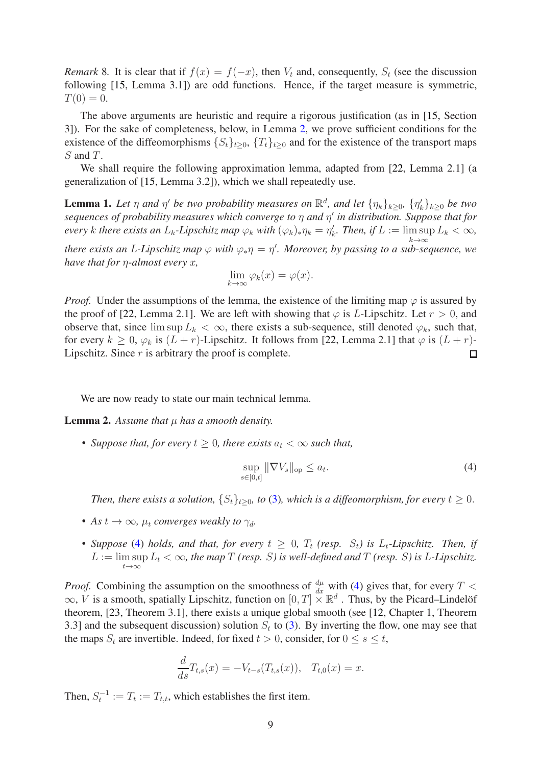<span id="page-8-0"></span>*Remark* 8. It is clear that if  $f(x) = f(-x)$ , then  $V_t$  and, consequently,  $S_t$  (see the discussion following [\[15,](#page-16-0) Lemma 3.1]) are odd functions. Hence, if the target measure is symmetric,  $T(0) = 0.$ 

The above arguments are heuristic and require a rigorous justification (as in [\[15,](#page-16-0) Section 3]). For the sake of completeness, below, in Lemma [2,](#page-8-1) we prove sufficient conditions for the existence of the diffeomorphisms  $\{S_t\}_{t\geq 0}$ ,  $\{T_t\}_{t\geq 0}$  and for the existence of the transport maps S and T.

We shall require the following approximation lemma, adapted from [\[22,](#page-16-6) Lemma 2.1] (a generalization of [\[15,](#page-16-0) Lemma 3.2]), which we shall repeatedly use.

<span id="page-8-3"></span>**Lemma 1.** Let  $\eta$  and  $\eta'$  be two probability measures on  $\mathbb{R}^d$ , and let  $\{\eta_k\}_{k\geq 0}$ ,  $\{\eta'_k\}_{k\geq 0}$  be two *sequences of probability measures which converge to* η *and* η ′ *in distribution. Suppose that for every* k there exists an  $L_k$ -Lipschitz map  $\varphi_k$  with  $(\varphi_k)_*\eta_k = \eta'_k$ . Then, if  $L := \limsup_{k \to \infty} L_k < \infty$ ,

k→∞ *there exists an* L*-Lipschitz map* ϕ *with* ϕ∗η = η ′ *. Moreover, by passing to a sub-sequence, we have that for* η*-almost every* x*,*

$$
\lim_{k \to \infty} \varphi_k(x) = \varphi(x).
$$

*Proof.* Under the assumptions of the lemma, the existence of the limiting map  $\varphi$  is assured by the proof of [\[22,](#page-16-6) Lemma 2.1]. We are left with showing that  $\varphi$  is L-Lipschitz. Let  $r > 0$ , and observe that, since  $\limsup L_k < \infty$ , there exists a sub-sequence, still denoted  $\varphi_k$ , such that, for every  $k \ge 0$ ,  $\varphi_k$  is  $(L + r)$ -Lipschitz. It follows from [\[22,](#page-16-6) Lemma 2.1] that  $\varphi$  is  $(L + r)$ -<br>Lipschitz. Since r is arbitrary the proof is complete. Lipschitz. Since  $r$  is arbitrary the proof is complete.

We are now ready to state our main technical lemma.

<span id="page-8-1"></span>**Lemma 2.** Assume that  $\mu$  has a smooth density.

• *Suppose that, for every*  $t \geq 0$ *, there exists*  $a_t < \infty$  *such that,* 

<span id="page-8-2"></span>
$$
\sup_{s \in [0,t]} \|\nabla V_s\|_{\text{op}} \le a_t. \tag{4}
$$

*Then, there exists a solution,*  $\{S_t\}_{t>0}$ *, to* [\(3\)](#page-7-0)*, which is a diffeomorphism, for every*  $t \geq 0$ *.* 

- *As*  $t \to \infty$ *,*  $\mu_t$  *converges weakly to*  $\gamma_d$ *.*
- Suppose [\(4\)](#page-8-2) holds, and that, for every  $t \geq 0$ ,  $T_t$  (resp.  $S_t$ ) is  $L_t$ -Lipschitz. Then, if  $L := \limsup_{k \to \infty} L_k < \infty$ , the map T (resp. S) is well-defined and T (resp. S) is L-Lipschitz.  $t\rightarrow\infty$

*Proof.* Combining the assumption on the smoothness of  $\frac{d\mu}{dx}$  with [\(4\)](#page-8-2) gives that, for every  $T$  <  $\infty$ , V is a smooth, spatially Lipschitz, function on  $[0, T] \times \mathbb{R}^d$ . Thus, by the Picard–Lindelöf theorem, [\[23,](#page-16-13) Theorem 3.1], there exists a unique global smooth (see [\[12,](#page-16-14) Chapter 1, Theorem 3.3] and the subsequent discussion) solution  $S_t$  to [\(3\)](#page-7-0). By inverting the flow, one may see that the maps  $S_t$  are invertible. Indeed, for fixed  $t > 0$ , consider, for  $0 \le s \le t$ ,

$$
\frac{d}{ds}T_{t,s}(x) = -V_{t-s}(T_{t,s}(x)), \quad T_{t,0}(x) = x.
$$

Then,  $S_t^{-1} := T_t := T_{t,t}$ , which establishes the first item.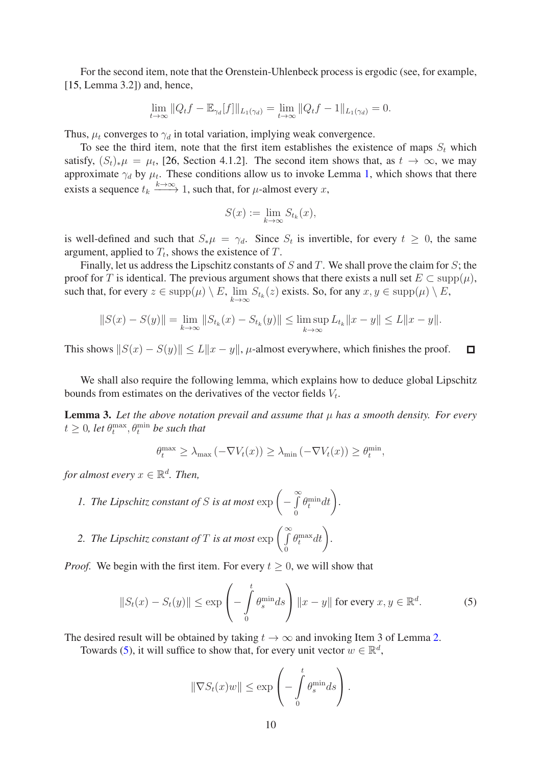For the second item, note that the Orenstein-Uhlenbeck process is ergodic (see, for example, [\[15,](#page-16-0) Lemma 3.2]) and, hence,

$$
\lim_{t \to \infty} ||Q_t f - \mathbb{E}_{\gamma_d}[f]||_{L_1(\gamma_d)} = \lim_{t \to \infty} ||Q_t f - 1||_{L_1(\gamma_d)} = 0.
$$

Thus,  $\mu_t$  converges to  $\gamma_d$  in total variation, implying weak convergence.

To see the third item, note that the first item establishes the existence of maps  $S_t$  which satisfy,  $(S_t)_*\mu = \mu_t$ , [\[26,](#page-16-12) Section 4.1.2]. The second item shows that, as  $t \to \infty$ , we may approximate  $\gamma_d$  by  $\mu_t$ . These conditions allow us to invoke Lemma [1,](#page-8-3) which shows that there exists a sequence  $t_k \xrightarrow{k \to \infty} 1$ , such that, for  $\mu$ -almost every x,

$$
S(x) := \lim_{k \to \infty} S_{t_k}(x),
$$

is well-defined and such that  $S_*\mu = \gamma_d$ . Since  $S_t$  is invertible, for every  $t \geq 0$ , the same argument, applied to  $T_t$ , shows the existence of T.

Finally, let us address the Lipschitz constants of  $S$  and  $T$ . We shall prove the claim for  $S$ ; the proof for T is identical. The previous argument shows that there exists a null set  $E \subset \text{supp}(\mu)$ , such that, for every  $z \in \text{supp}(\mu) \setminus E$ ,  $\lim_{k \to \infty} S_{t_k}(z)$  exists. So, for any  $x, y \in \text{supp}(\mu) \setminus E$ ,

$$
||S(x) - S(y)|| = \lim_{k \to \infty} ||S_{t_k}(x) - S_{t_k}(y)|| \le \limsup_{k \to \infty} L_{t_k} ||x - y|| \le L||x - y||.
$$

This shows  $||S(x) - S(y)|| \le L||x - y||$ , µ-almost everywhere, which finishes the proof.  $\Box$ 

We shall also require the following lemma, which explains how to deduce global Lipschitz bounds from estimates on the derivatives of the vector fields  $V_t$ .

<span id="page-9-1"></span>**Lemma 3.** Let the above notation prevail and assume that  $\mu$  has a smooth density. For every  $t \geq 0$ , let  $\theta_t^{\max}, \theta_t^{\min}$  be such that

$$
\theta_t^{\max} \ge \lambda_{\max} \left( -\nabla V_t(x) \right) \ge \lambda_{\min} \left( -\nabla V_t(x) \right) \ge \theta_t^{\min},
$$

*for almost every*  $x \in \mathbb{R}^d$ *. Then,* 

*1. The Lipschitz constant of* S *is at most*  $\exp\left(-\int\limits_{0}^{\infty}$ 0  $\theta_t^{\min} dt$ .

2. The Lipschitz constant of 
$$
T
$$
 is at most  $\exp\left(\int_{0}^{\infty} \theta_t^{\max} dt\right)$ .

*Proof.* We begin with the first item. For every  $t > 0$ , we will show that

<span id="page-9-0"></span>
$$
||S_t(x) - S_t(y)|| \le \exp\left(-\int_0^t \theta_s^{\min} ds\right) ||x - y|| \text{ for every } x, y \in \mathbb{R}^d.
$$
 (5)

The desired result will be obtained by taking  $t \to \infty$  and invoking Item 3 of Lemma [2.](#page-8-1)

Towards [\(5\)](#page-9-0), it will suffice to show that, for every unit vector  $w \in \mathbb{R}^d$ ,

$$
\|\nabla S_t(x)w\| \le \exp\left(-\int\limits_0^t \theta_s^{\min} ds\right).
$$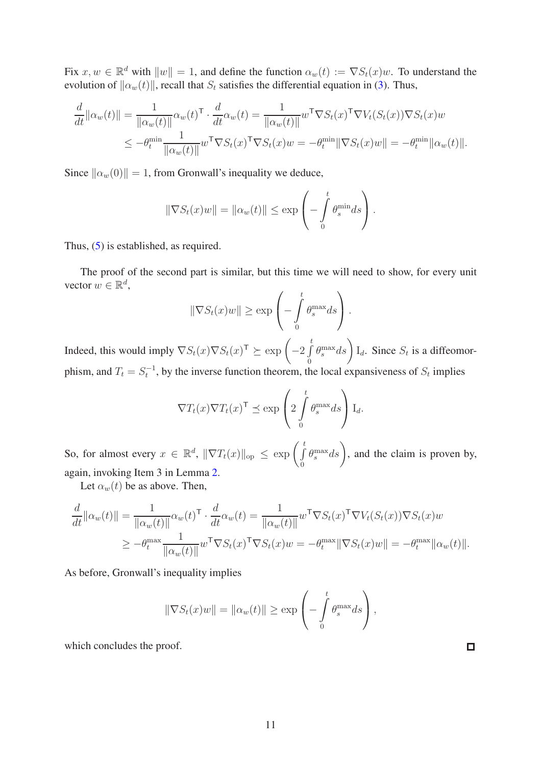Fix  $x, w \in \mathbb{R}^d$  with  $||w|| = 1$ , and define the function  $\alpha_w(t) := \nabla S_t(x)w$ . To understand the evolution of  $\|\alpha_w(t)\|$ , recall that  $S_t$  satisfies the differential equation in [\(3\)](#page-7-0). Thus,

$$
\frac{d}{dt} ||\alpha_w(t)|| = \frac{1}{||\alpha_w(t)||} \alpha_w(t)^\top \cdot \frac{d}{dt} \alpha_w(t) = \frac{1}{||\alpha_w(t)||} w^\top \nabla S_t(x)^\top \nabla V_t(S_t(x)) \nabla S_t(x) w
$$
\n
$$
\leq -\theta_t^{\min} \frac{1}{||\alpha_w(t)||} w^\top \nabla S_t(x)^\top \nabla S_t(x) w = -\theta_t^{\min} ||\nabla S_t(x) w|| = -\theta_t^{\min} ||\alpha_w(t)||.
$$

Since  $\|\alpha_w(0)\| = 1$ , from Gronwall's inequality we deduce,

$$
\|\nabla S_t(x)w\| = \|\alpha_w(t)\| \le \exp\left(-\int\limits_0^t \theta_s^{\min} ds\right).
$$

Thus, [\(5\)](#page-9-0) is established, as required.

The proof of the second part is similar, but this time we will need to show, for every unit vector  $w \in \mathbb{R}^d$ ,

$$
\|\nabla S_t(x)w\| \ge \exp\left(-\int\limits_0^t \theta_s^{\max} ds\right).
$$

Indeed, this would imply  $\nabla S_t(x) \nabla S_t(x)^\mathsf{T} \succeq \exp \left(-2 \int_a^t$ t  $\theta$  $\left(\theta_s^{\max}ds\right)$   $I_d$ . Since  $S_t$  is a diffeomorphism, and  $T_t = S_t^{-1}$ , by the inverse function theorem, the local expansiveness of  $S_t$  implies

$$
\nabla T_t(x) \nabla T_t(x)^\mathsf{T} \preceq \exp\left(2 \int\limits_0^t \theta_s^{\max} ds\right) \mathcal{I}_d.
$$

So, for almost every  $x \in \mathbb{R}^d$ ,  $\|\nabla T_t(x)\|_{\text{op}} \leq \exp\left(\int\limits_{a}^{t}$ t  $\theta$  $\left(\theta_s^{\max} ds\right)$ , and the claim is proven by, again, invoking Item 3 in Lemma [2.](#page-8-1)

Let  $\alpha_w(t)$  be as above. Then,

$$
\frac{d}{dt} ||\alpha_w(t)|| = \frac{1}{||\alpha_w(t)||} \alpha_w(t)^\top \cdot \frac{d}{dt} \alpha_w(t) = \frac{1}{||\alpha_w(t)||} w^\top \nabla S_t(x)^\top \nabla V_t(S_t(x)) \nabla S_t(x) w
$$
\n
$$
\geq -\theta_t^{\max} \frac{1}{||\alpha_w(t)||} w^\top \nabla S_t(x)^\top \nabla S_t(x) w = -\theta_t^{\max} ||\nabla S_t(x) w|| = -\theta_t^{\max} ||\alpha_w(t)||.
$$

As before, Gronwall's inequality implies

$$
\|\nabla S_t(x)w\| = \|\alpha_w(t)\| \ge \exp\left(-\int\limits_0^t \theta_s^{\max} ds\right),\,
$$

 $\Box$ 

which concludes the proof.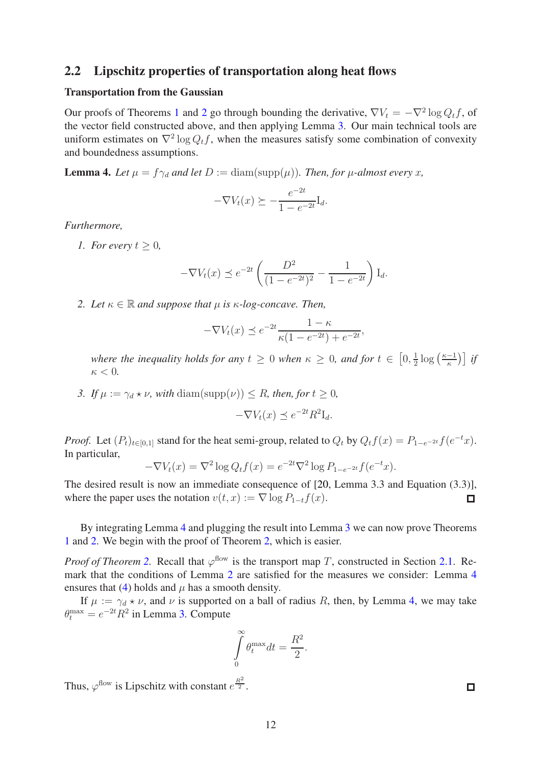### 2.2 Lipschitz properties of transportation along heat flows

### Transportation from the Gaussian

Our proofs of Theorems [1](#page-1-0) and [2](#page-1-1) go through bounding the derivative,  $\nabla V_t = -\nabla^2 \log Q_t f$ , of the vector field constructed above, and then applying Lemma [3.](#page-9-1) Our main technical tools are uniform estimates on  $\nabla^2 \log Q_t f$ , when the measures satisfy some combination of convexity and boundedness assumptions.

<span id="page-11-0"></span>**Lemma 4.** Let  $\mu = f \gamma_d$  and let  $D := \text{diam}(\text{supp}(\mu))$ . Then, for  $\mu$ -almost every x,

$$
-\nabla V_t(x) \succeq -\frac{e^{-2t}}{1 - e^{-2t}} I_d.
$$

*Furthermore,*

*1. For every*  $t > 0$ ,

$$
-\nabla V_t(x) \preceq e^{-2t} \left( \frac{D^2}{(1 - e^{-2t})^2} - \frac{1}{1 - e^{-2t}} \right) I_d.
$$

*2. Let*  $\kappa \in \mathbb{R}$  *and suppose that*  $\mu$  *is*  $\kappa$ *-log-concave. Then,* 

$$
-\nabla V_t(x) \preceq e^{-2t} \frac{1-\kappa}{\kappa(1-e^{-2t}) + e^{-2t}},
$$

*where the inequality holds for any*  $t \geq 0$  *when*  $\kappa \geq 0$ *, and for*  $t \in [0, \frac{1}{2}]$  $\frac{1}{2} \log \left( \frac{\kappa - 1}{\kappa} \right)$  *if*  $\kappa < 0$ .

*3.* If  $\mu := \gamma_d * \nu$ , with diam(supp( $\nu$ ))  $\leq R$ , then, for  $t \geq 0$ ,

$$
-\nabla V_t(x) \preceq e^{-2t} R^2 I_d.
$$

*Proof.* Let  $(P_t)_{t \in [0,1]}$  stand for the heat semi-group, related to  $Q_t$  by  $Q_t f(x) = P_{1-e^{-2t}} f(e^{-t}x)$ . In particular,

$$
-\nabla V_t(x) = \nabla^2 \log Q_t f(x) = e^{-2t} \nabla^2 \log P_{1-e^{-2t}} f(e^{-t} x).
$$

The desired result is now an immediate consequence of [\[20,](#page-16-7) Lemma 3.3 and Equation (3.3)], where the paper uses the notation  $v(t, x) := \nabla \log P_{1-t} f(x)$ .  $\Box$ 

By integrating Lemma [4](#page-11-0) and plugging the result into Lemma [3](#page-9-1) we can now prove Theorems [1](#page-1-0) and [2.](#page-1-1) We begin with the proof of Theorem [2,](#page-1-1) which is easier.

*Proof of Theorem* [2.](#page-1-1) Recall that  $\varphi$ <sup>flow</sup> is the transport map T, constructed in Section [2.1.](#page-7-1) Remark that the conditions of Lemma [2](#page-8-1) are satisfied for the measures we consider: Lemma [4](#page-11-0) ensures that [\(4\)](#page-8-2) holds and  $\mu$  has a smooth density.

If  $\mu := \gamma_d * \nu$ , and  $\nu$  is supported on a ball of radius R, then, by Lemma [4,](#page-11-0) we may take  $\theta_t^{\max} = e^{-2t} R^2$  in Lemma [3.](#page-9-1) Compute

$$
\int_{0}^{\infty} \theta_t^{\max} dt = \frac{R^2}{2}.
$$

Thus,  $\varphi^{\text{flow}}$  is Lipschitz with constant  $e^{\frac{R^2}{2}}$ .

 $\Box$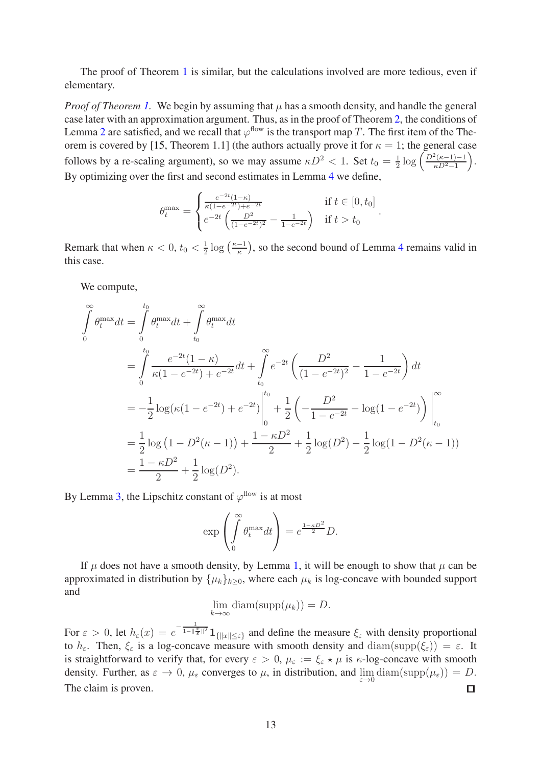The proof of Theorem [1](#page-1-0) is similar, but the calculations involved are more tedious, even if elementary.

*Proof of Theorem [1.](#page-1-0)* We begin by assuming that  $\mu$  has a smooth density, and handle the general case later with an approximation argument. Thus, as in the proof of Theorem [2,](#page-1-1) the conditions of Lemma [2](#page-8-1) are satisfied, and we recall that  $\varphi^{\text{flow}}$  is the transport map T. The first item of the The-orem is covered by [\[15,](#page-16-0) Theorem 1.1] (the authors actually prove it for  $\kappa = 1$ ; the general case follows by a re-scaling argument), so we may assume  $\kappa D^2 < 1$ . Set  $t_0 = \frac{1}{2}$  $rac{1}{2} \log \left( \frac{D^2(\kappa-1)-1}{\kappa D^2-1} \right)$  $\kappa D^2-1$  . By optimizing over the first and second estimates in Lemma [4](#page-11-0) we define,

$$
\theta_t^{\max} = \begin{cases} \frac{e^{-2t}(1-\kappa)}{\kappa(1-e^{-2t})+e^{-2t}} & \text{if } t \in [0, t_0] \\ e^{-2t} \left( \frac{D^2}{(1-e^{-2t})^2} - \frac{1}{1-e^{-2t}} \right) & \text{if } t > t_0 \end{cases}
$$

.

Remark that when  $\kappa < 0, t_0 < \frac{1}{2}$  $\frac{1}{2}$  log  $\left(\frac{\kappa-1}{\kappa}\right)$ , so the second bound of Lemma [4](#page-11-0) remains valid in this case.

We compute,

$$
\int_{0}^{\infty} \theta_t^{\max} dt = \int_{0}^{t_0} \theta_t^{\max} dt + \int_{t_0}^{\infty} \theta_t^{\max} dt
$$
\n
$$
= \int_{0}^{t_0} \frac{e^{-2t}(1-\kappa)}{\kappa(1-e^{-2t})+e^{-2t}} dt + \int_{t_0}^{\infty} e^{-2t} \left(\frac{D^2}{(1-e^{-2t})^2} - \frac{1}{1-e^{-2t}}\right) dt
$$
\n
$$
= -\frac{1}{2} \log(\kappa(1-e^{-2t})+e^{-2t}) \Big|_{0}^{t_0} + \frac{1}{2} \left(-\frac{D^2}{1-e^{-2t}} - \log(1-e^{-2t})\right) \Big|_{t_0}^{\infty}
$$
\n
$$
= \frac{1}{2} \log(1-D^2(\kappa-1)) + \frac{1-\kappa D^2}{2} + \frac{1}{2} \log(D^2) - \frac{1}{2} \log(1-D^2(\kappa-1))
$$
\n
$$
= \frac{1-\kappa D^2}{2} + \frac{1}{2} \log(D^2).
$$

By Lemma [3,](#page-9-1) the Lipschitz constant of  $\varphi^{\text{flow}}$  is at most

$$
\exp\left(\int\limits_0^\infty \theta_t^{\max} dt\right) = e^{\frac{1-\kappa D^2}{2}} D.
$$

If  $\mu$  does not have a smooth density, by Lemma [1,](#page-8-3) it will be enough to show that  $\mu$  can be approximated in distribution by  $\{\mu_k\}_{k\geq 0}$ , where each  $\mu_k$  is log-concave with bounded support and

$$
\lim_{k \to \infty} \text{diam}(\text{supp}(\mu_k)) = D.
$$

For  $\varepsilon > 0$ , let  $h_{\varepsilon}(x) = e^{-\frac{1}{1 - ||\frac{x}{\varepsilon}||^2}} 1_{\{||x|| \le \varepsilon\}}$  and define the measure  $\xi_{\varepsilon}$  with density proportional to  $h_{\varepsilon}$ . Then,  $\xi_{\varepsilon}$  is a log-concave measure with smooth density and  $\text{diam}(\text{supp}(\xi_{\varepsilon})) = \varepsilon$ . It is straightforward to verify that, for every  $\varepsilon > 0$ ,  $\mu_{\varepsilon} := \xi_{\varepsilon} \star \mu$  is  $\kappa$ -log-concave with smooth density. Further, as  $\varepsilon \to 0$ ,  $\mu_{\varepsilon}$  converges to  $\mu$ , in distribution, and  $\lim_{\varepsilon \to 0} \text{diam}(\text{supp}(\mu_{\varepsilon})) = D$ . The claim is proven.  $\Box$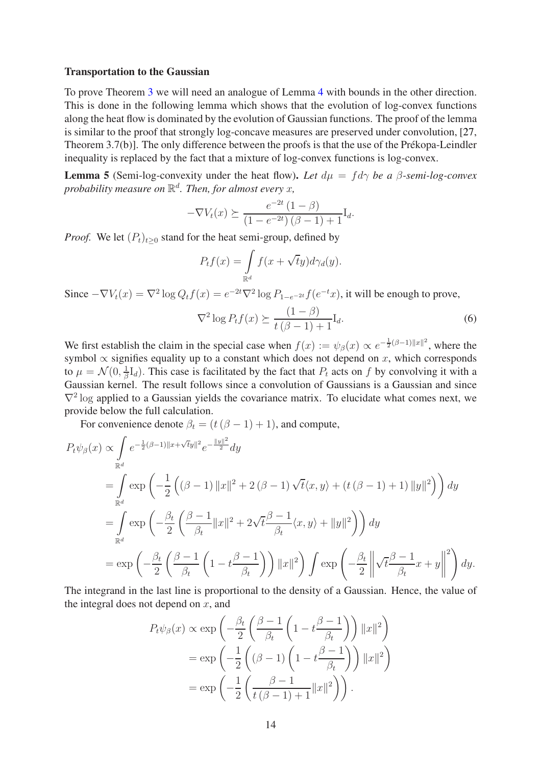### Transportation to the Gaussian

To prove Theorem [3](#page-2-0) we will need an analogue of Lemma [4](#page-11-0) with bounds in the other direction. This is done in the following lemma which shows that the evolution of log-convex functions along the heat flow is dominated by the evolution of Gaussian functions. The proof of the lemma is similar to the proof that strongly log-concave measures are preserved under convolution, [\[27,](#page-16-15) Theorem 3.7(b)]. The only difference between the proofs is that the use of the Prékopa-Leindler inequality is replaced by the fact that a mixture of log-convex functions is log-convex.

<span id="page-13-1"></span>**Lemma 5** (Semi-log-convexity under the heat flow). Let  $d\mu = fd\gamma$  be a  $\beta$ -semi-log-convex *probability measure on* R d *. Then, for almost every* x*,*

$$
-\nabla V_t(x) \succeq \frac{e^{-2t}(1-\beta)}{(1 - e^{-2t})(\beta - 1) + 1}I_d.
$$

*Proof.* We let  $(P_t)_{t>0}$  stand for the heat semi-group, defined by

$$
P_t f(x) = \int_{\mathbb{R}^d} f(x + \sqrt{t}y) d\gamma_d(y).
$$

Since  $-\nabla V_t(x) = \nabla^2 \log Q_t f(x) = e^{-2t} \nabla^2 \log P_{1-e^{-2t}} f(e^{-t}x)$ , it will be enough to prove,

<span id="page-13-0"></span>
$$
\nabla^2 \log P_t f(x) \succeq \frac{(1-\beta)}{t(\beta-1)+1} \mathcal{I}_d. \tag{6}
$$

We first establish the claim in the special case when  $f(x) := \psi_{\beta}(x) \propto e^{-\frac{1}{2}(\beta - 1) ||x||^2}$ , where the symbol  $\propto$  signifies equality up to a constant which does not depend on x, which corresponds to  $\mu=\mathcal{N}(0,\frac{1}{\beta}$  $\frac{1}{\beta}I_d$ ). This case is facilitated by the fact that  $P_t$  acts on f by convolving it with a Gaussian kernel. The result follows since a convolution of Gaussians is a Gaussian and since  $\nabla^2$  log applied to a Gaussian yields the covariance matrix. To elucidate what comes next, we provide below the full calculation.

For convenience denote  $\beta_t = (t(\beta - 1) + 1)$ , and compute,

$$
P_t \psi_{\beta}(x) \propto \int_{\mathbb{R}^d} e^{-\frac{1}{2}(\beta - 1)\|x + \sqrt{t}y\|^2} e^{-\frac{\|y\|^2}{2}} dy
$$
  
\n
$$
= \int_{\mathbb{R}^d} \exp\left(-\frac{1}{2}\left((\beta - 1)\|x\|^2 + 2(\beta - 1)\sqrt{t}\langle x, y \rangle + (t(\beta - 1) + 1)\|y\|^2\right)\right) dy
$$
  
\n
$$
= \int_{\mathbb{R}^d} \exp\left(-\frac{\beta_t}{2}\left(\frac{\beta - 1}{\beta_t}\|x\|^2 + 2\sqrt{t}\frac{\beta - 1}{\beta_t}\langle x, y \rangle + \|y\|^2\right)\right) dy
$$
  
\n
$$
= \exp\left(-\frac{\beta_t}{2}\left(\frac{\beta - 1}{\beta_t}\left(1 - t\frac{\beta - 1}{\beta_t}\right)\right)\|x\|^2\right) \int \exp\left(-\frac{\beta_t}{2}\left\|\sqrt{t}\frac{\beta - 1}{\beta_t}x + y\right\|^2\right) dy.
$$

The integrand in the last line is proportional to the density of a Gaussian. Hence, the value of the integral does not depend on  $x$ , and

$$
P_t \psi_{\beta}(x) \propto \exp\left(-\frac{\beta_t}{2} \left(\frac{\beta - 1}{\beta_t} \left(1 - t \frac{\beta - 1}{\beta_t}\right)\right) ||x||^2\right)
$$
  
= 
$$
\exp\left(-\frac{1}{2} \left((\beta - 1) \left(1 - t \frac{\beta - 1}{\beta_t}\right)\right) ||x||^2\right)
$$
  
= 
$$
\exp\left(-\frac{1}{2} \left(\frac{\beta - 1}{t(\beta - 1) + 1} ||x||^2\right)\right).
$$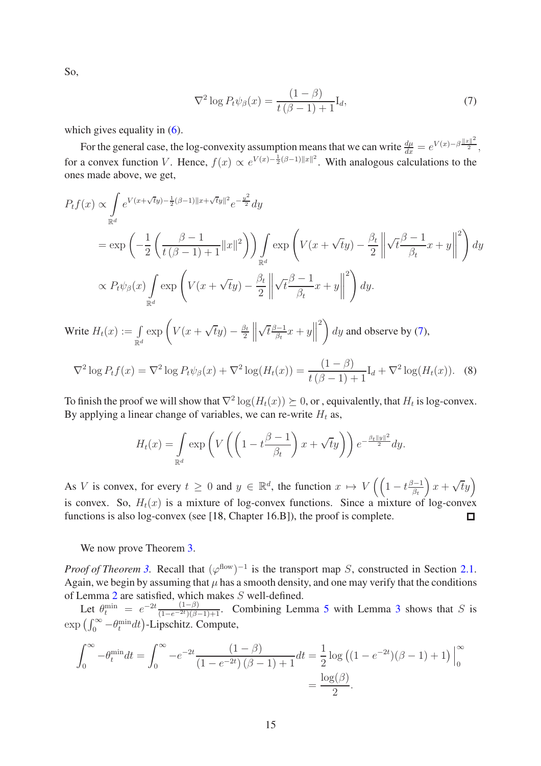So,

<span id="page-14-0"></span>
$$
\nabla^2 \log P_t \psi_\beta(x) = \frac{(1-\beta)}{t(\beta-1)+1} \mathcal{I}_d,\tag{7}
$$

which gives equality in  $(6)$ .

For the general case, the log-convexity assumption means that we can write  $\frac{d\mu}{dx} = e^{V(x) - \beta \frac{\|x\|^2}{2}}$ , for a convex function V. Hence,  $f(x) \propto e^{V(x) - \frac{1}{2}(\beta - 1) ||x||^2}$ . With analogous calculations to the ones made above, we get,

$$
P_{t}f(x) \propto \int_{\mathbb{R}^{d}} e^{V(x+\sqrt{t}y)-\frac{1}{2}(\beta-1)\|x+\sqrt{t}y\|^{2}} e^{-\frac{y^{2}}{2}} dy
$$
  
\n
$$
= \exp\left(-\frac{1}{2}\left(\frac{\beta-1}{t(\beta-1)+1}\|x\|^{2}\right)\right) \int_{\mathbb{R}^{d}} \exp\left(V(x+\sqrt{t}y)-\frac{\beta_{t}}{2}\left\|\sqrt{t}\frac{\beta-1}{\beta_{t}}x+y\right\|^{2}\right) dy
$$
  
\n
$$
\propto P_{t}\psi_{\beta}(x) \int_{\mathbb{R}^{d}} \exp\left(V(x+\sqrt{t}y)-\frac{\beta_{t}}{2}\left\|\sqrt{t}\frac{\beta-1}{\beta_{t}}x+y\right\|^{2}\right) dy.
$$
  
\nWrite  $H_{t}(x) := \int_{\mathbb{R}^{d}} \exp\left(V(x+\sqrt{t}y)-\frac{\beta_{t}}{2}\left\|\sqrt{t}\frac{\beta-1}{\beta_{t}}x+y\right\|^{2}\right) dy$  and observe by (7),

 $\mathbb{R}^d$ 2

<span id="page-14-1"></span>
$$
\nabla^2 \log P_t f(x) = \nabla^2 \log P_t \psi_\beta(x) + \nabla^2 \log(H_t(x)) = \frac{(1-\beta)}{t(\beta-1)+1} I_d + \nabla^2 \log(H_t(x)).
$$
 (8)

To finish the proof we will show that  $\nabla^2 \log(H_t(x)) \succeq 0$ , or , equivalently, that  $H_t$  is log-convex. By applying a linear change of variables, we can re-write  $H_t$  as,

$$
H_t(x) = \int_{\mathbb{R}^d} \exp\left(V\left(\left(1 - t \frac{\beta - 1}{\beta_t}\right) x + \sqrt{t}y\right)\right) e^{-\frac{\beta_t ||y||^2}{2}} dy.
$$

As V is convex, for every  $t \ge 0$  and  $y \in \mathbb{R}^d$ , the function  $x \mapsto V\left(\left(1 - t \frac{\beta - 1}{\beta_t}\right) x + \sqrt{t}y\right)$ is convex. So,  $H_t(x)$  is a mixture of log-convex functions. Since a mixture of log-convex functions is also log-convex (see [\[18,](#page-16-16) Chapter 16.B]), the proof is complete. П

We now prove Theorem [3.](#page-2-0)

*Proof of Theorem [3.](#page-2-0)* Recall that  $(\varphi^{\text{flow}})^{-1}$  is the transport map *S*, constructed in Section [2.1.](#page-7-1) Again, we begin by assuming that  $\mu$  has a smooth density, and one may verify that the conditions of Lemma [2](#page-8-1) are satisfied, which makes S well-defined.

Let  $\theta_{t}^{\min} = e^{-2t} \frac{(1-\beta)}{(1-e^{-2t})(\beta-1)+1}$ . Combining Lemma [5](#page-13-1) with Lemma [3](#page-9-1) shows that S is  $\exp\left(\int_0^\infty -\theta_t^{\min} dt\right)$ -Lipschitz. Compute,

$$
\int_0^\infty -\theta_t^{\min} dt = \int_0^\infty -e^{-2t} \frac{(1-\beta)}{(1-e^{-2t})(\beta-1)+1} dt = \frac{1}{2} \log ((1-e^{-2t})(\beta-1)+1) \Big|_0^\infty
$$
  
=  $\frac{\log(\beta)}{2}$ .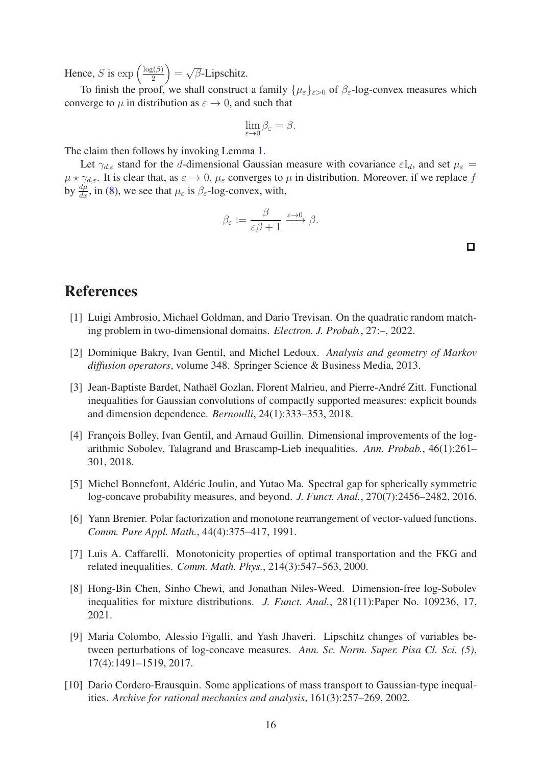Hence, *S* is  $\exp\left(\frac{\log(\beta)}{2}\right)$  $\sqrt{\beta}$  =  $\sqrt{\beta}$ -Lipschitz.

To finish the proof, we shall construct a family  $\{\mu_{\varepsilon}\}_{{\varepsilon}>0}$  of  $\beta_{\varepsilon}$ -log-convex measures which converge to  $\mu$  in distribution as  $\varepsilon \to 0$ , and such that

$$
\lim_{\varepsilon \to 0} \beta_{\varepsilon} = \beta.
$$

The claim then follows by invoking Lemma [1.](#page-8-3)

Let  $\gamma_{d,\varepsilon}$  stand for the d-dimensional Gaussian measure with covariance  $\varepsilon I_d$ , and set  $\mu_{\varepsilon} =$  $\mu \star \gamma_{d,\varepsilon}$ . It is clear that, as  $\varepsilon \to 0$ ,  $\mu_{\varepsilon}$  converges to  $\mu$  in distribution. Moreover, if we replace f by  $\frac{d\mu}{dx}$ , in [\(8\)](#page-14-1), we see that  $\mu_{\varepsilon}$  is  $\beta_{\varepsilon}$ -log-convex, with,

$$
\beta_{\varepsilon} := \frac{\beta}{\varepsilon \beta + 1} \xrightarrow{\varepsilon \to 0} \beta.
$$

 $\Box$ 

# <span id="page-15-6"></span>References

- <span id="page-15-7"></span>[1] Luigi Ambrosio, Michael Goldman, and Dario Trevisan. On the quadratic random matching problem in two-dimensional domains. *Electron. J. Probab.*, 27:–, 2022.
- <span id="page-15-4"></span>[2] Dominique Bakry, Ivan Gentil, and Michel Ledoux. *Analysis and geometry of Markov diffusion operators*, volume 348. Springer Science & Business Media, 2013.
- [3] Jean-Baptiste Bardet, Nathaël Gozlan, Florent Malrieu, and Pierre-André Zitt. Functional inequalities for Gaussian convolutions of compactly supported measures: explicit bounds and dimension dependence. *Bernoulli*, 24(1):333–353, 2018.
- <span id="page-15-8"></span>[4] François Bolley, Ivan Gentil, and Arnaud Guillin. Dimensional improvements of the logarithmic Sobolev, Talagrand and Brascamp-Lieb inequalities. *Ann. Probab.*, 46(1):261– 301, 2018.
- <span id="page-15-9"></span>[5] Michel Bonnefont, Aldéric Joulin, and Yutao Ma. Spectral gap for spherically symmetric log-concave probability measures, and beyond. *J. Funct. Anal.*, 270(7):2456–2482, 2016.
- <span id="page-15-1"></span>[6] Yann Brenier. Polar factorization and monotone rearrangement of vector-valued functions. *Comm. Pure Appl. Math.*, 44(4):375–417, 1991.
- <span id="page-15-0"></span>[7] Luis A. Caffarelli. Monotonicity properties of optimal transportation and the FKG and related inequalities. *Comm. Math. Phys.*, 214(3):547–563, 2000.
- <span id="page-15-5"></span>[8] Hong-Bin Chen, Sinho Chewi, and Jonathan Niles-Weed. Dimension-free log-Sobolev inequalities for mixture distributions. *J. Funct. Anal.*, 281(11):Paper No. 109236, 17, 2021.
- <span id="page-15-3"></span>[9] Maria Colombo, Alessio Figalli, and Yash Jhaveri. Lipschitz changes of variables between perturbations of log-concave measures. *Ann. Sc. Norm. Super. Pisa Cl. Sci. (5)*, 17(4):1491–1519, 2017.
- <span id="page-15-2"></span>[10] Dario Cordero-Erausquin. Some applications of mass transport to Gaussian-type inequalities. *Archive for rational mechanics and analysis*, 161(3):257–269, 2002.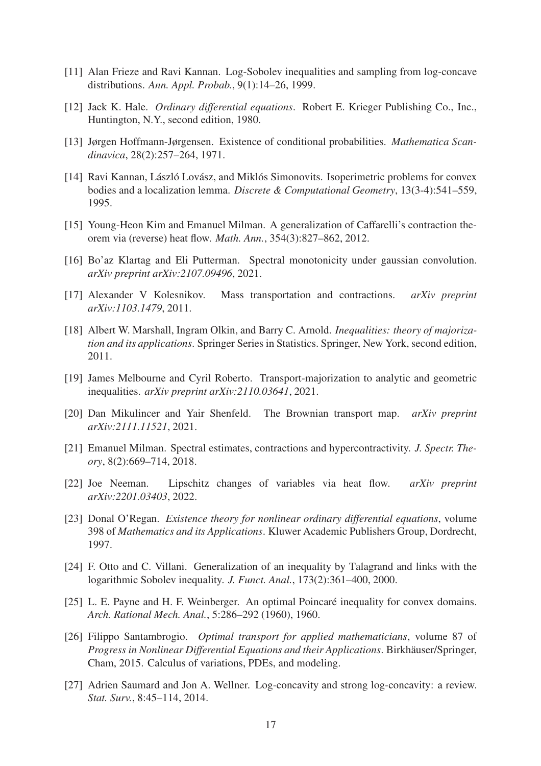- <span id="page-16-14"></span><span id="page-16-3"></span>[11] Alan Frieze and Ravi Kannan. Log-Sobolev inequalities and sampling from log-concave distributions. *Ann. Appl. Probab.*, 9(1):14–26, 1999.
- <span id="page-16-10"></span>[12] Jack K. Hale. *Ordinary differential equations*. Robert E. Krieger Publishing Co., Inc., Huntington, N.Y., second edition, 1980.
- <span id="page-16-8"></span>[13] Jørgen Hoffmann-Jørgensen. Existence of conditional probabilities. *Mathematica Scandinavica*, 28(2):257–264, 1971.
- [14] Ravi Kannan, László Lovász, and Miklós Simonovits. Isoperimetric problems for convex bodies and a localization lemma. *Discrete & Computational Geometry*, 13(3-4):541–559, 1995.
- <span id="page-16-5"></span><span id="page-16-0"></span>[15] Young-Heon Kim and Emanuel Milman. A generalization of Caffarelli's contraction theorem via (reverse) heat flow. *Math. Ann.*, 354(3):827–862, 2012.
- <span id="page-16-4"></span>[16] Bo'az Klartag and Eli Putterman. Spectral monotonicity under gaussian convolution. *arXiv preprint arXiv:2107.09496*, 2021.
- <span id="page-16-16"></span>[17] Alexander V Kolesnikov. Mass transportation and contractions. *arXiv preprint arXiv:1103.1479*, 2011.
- [18] Albert W. Marshall, Ingram Olkin, and Barry C. Arnold. *Inequalities: theory of majorization and its applications*. Springer Series in Statistics. Springer, New York, second edition, 2011.
- <span id="page-16-11"></span><span id="page-16-7"></span>[19] James Melbourne and Cyril Roberto. Transport-majorization to analytic and geometric inequalities. *arXiv preprint arXiv:2110.03641*, 2021.
- <span id="page-16-9"></span>[20] Dan Mikulincer and Yair Shenfeld. The Brownian transport map. *arXiv preprint arXiv:2111.11521*, 2021.
- [21] Emanuel Milman. Spectral estimates, contractions and hypercontractivity. *J. Spectr. Theory*, 8(2):669–714, 2018.
- <span id="page-16-6"></span>[22] Joe Neeman. Lipschitz changes of variables via heat flow. *arXiv preprint arXiv:2201.03403*, 2022.
- <span id="page-16-13"></span>[23] Donal O'Regan. *Existence theory for nonlinear ordinary differential equations*, volume 398 of *Mathematics and its Applications*. Kluwer Academic Publishers Group, Dordrecht, 1997.
- <span id="page-16-1"></span>[24] F. Otto and C. Villani. Generalization of an inequality by Talagrand and links with the logarithmic Sobolev inequality. *J. Funct. Anal.*, 173(2):361–400, 2000.
- <span id="page-16-2"></span>[25] L. E. Payne and H. F. Weinberger. An optimal Poincaré inequality for convex domains. *Arch. Rational Mech. Anal.*, 5:286–292 (1960), 1960.
- <span id="page-16-12"></span>[26] Filippo Santambrogio. *Optimal transport for applied mathematicians*, volume 87 of *Progress in Nonlinear Differential Equations and their Applications. Birkhäuser/Springer,* Cham, 2015. Calculus of variations, PDEs, and modeling.
- <span id="page-16-15"></span>[27] Adrien Saumard and Jon A. Wellner. Log-concavity and strong log-concavity: a review. *Stat. Surv.*, 8:45–114, 2014.